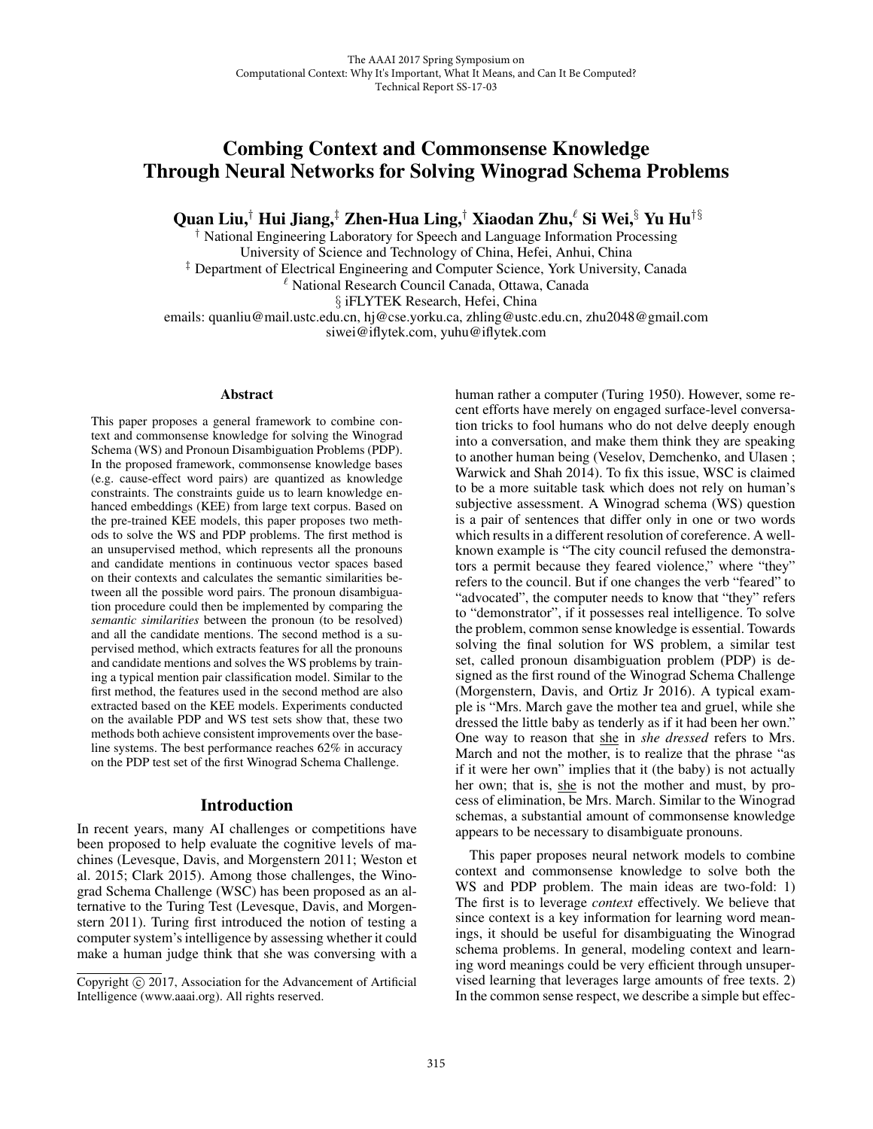# Combing Context and Commonsense Knowledge Through Neural Networks for Solving Winograd Schema Problems

Quan Liu,† Hui Jiang,‡ Zhen-Hua Ling,† Xiaodan Zhu, $\ell$  Si Wei, $\S$  Yu Hu† $\S$ 

† National Engineering Laboratory for Speech and Language Information Processing

University of Science and Technology of China, Hefei, Anhui, China

‡ Department of Electrical Engineering and Computer Science, York University, Canada

- National Research Council Canada, Ottawa, Canada

§ iFLYTEK Research, Hefei, China

emails: quanliu@mail.ustc.edu.cn, hj@cse.yorku.ca, zhling@ustc.edu.cn, zhu2048@gmail.com siwei@iflytek.com, yuhu@iflytek.com

#### Abstract

This paper proposes a general framework to combine context and commonsense knowledge for solving the Winograd Schema (WS) and Pronoun Disambiguation Problems (PDP). In the proposed framework, commonsense knowledge bases (e.g. cause-effect word pairs) are quantized as knowledge constraints. The constraints guide us to learn knowledge enhanced embeddings (KEE) from large text corpus. Based on the pre-trained KEE models, this paper proposes two methods to solve the WS and PDP problems. The first method is an unsupervised method, which represents all the pronouns and candidate mentions in continuous vector spaces based on their contexts and calculates the semantic similarities between all the possible word pairs. The pronoun disambiguation procedure could then be implemented by comparing the *semantic similarities* between the pronoun (to be resolved) and all the candidate mentions. The second method is a supervised method, which extracts features for all the pronouns and candidate mentions and solves the WS problems by training a typical mention pair classification model. Similar to the first method, the features used in the second method are also extracted based on the KEE models. Experiments conducted on the available PDP and WS test sets show that, these two methods both achieve consistent improvements over the baseline systems. The best performance reaches 62% in accuracy on the PDP test set of the first Winograd Schema Challenge.

# Introduction

In recent years, many AI challenges or competitions have been proposed to help evaluate the cognitive levels of machines (Levesque, Davis, and Morgenstern 2011; Weston et al. 2015; Clark 2015). Among those challenges, the Winograd Schema Challenge (WSC) has been proposed as an alternative to the Turing Test (Levesque, Davis, and Morgenstern 2011). Turing first introduced the notion of testing a computer system's intelligence by assessing whether it could make a human judge think that she was conversing with a human rather a computer (Turing 1950). However, some recent efforts have merely on engaged surface-level conversation tricks to fool humans who do not delve deeply enough into a conversation, and make them think they are speaking to another human being (Veselov, Demchenko, and Ulasen ; Warwick and Shah 2014). To fix this issue, WSC is claimed to be a more suitable task which does not rely on human's subjective assessment. A Winograd schema (WS) question is a pair of sentences that differ only in one or two words which results in a different resolution of coreference. A wellknown example is "The city council refused the demonstrators a permit because they feared violence," where "they" refers to the council. But if one changes the verb "feared" to "advocated", the computer needs to know that "they" refers to "demonstrator", if it possesses real intelligence. To solve the problem, common sense knowledge is essential. Towards solving the final solution for WS problem, a similar test set, called pronoun disambiguation problem (PDP) is designed as the first round of the Winograd Schema Challenge (Morgenstern, Davis, and Ortiz Jr 2016). A typical example is "Mrs. March gave the mother tea and gruel, while she dressed the little baby as tenderly as if it had been her own." One way to reason that she in *she dressed* refers to Mrs. March and not the mother, is to realize that the phrase "as if it were her own" implies that it (the baby) is not actually her own; that is, she is not the mother and must, by process of elimination, be Mrs. March. Similar to the Winograd schemas, a substantial amount of commonsense knowledge appears to be necessary to disambiguate pronouns.

This paper proposes neural network models to combine context and commonsense knowledge to solve both the WS and PDP problem. The main ideas are two-fold: 1) The first is to leverage *context* effectively. We believe that since context is a key information for learning word meanings, it should be useful for disambiguating the Winograd schema problems. In general, modeling context and learning word meanings could be very efficient through unsupervised learning that leverages large amounts of free texts. 2) In the common sense respect, we describe a simple but effec-

Copyright  $\odot$  2017, Association for the Advancement of Artificial Intelligence (www.aaai.org). All rights reserved.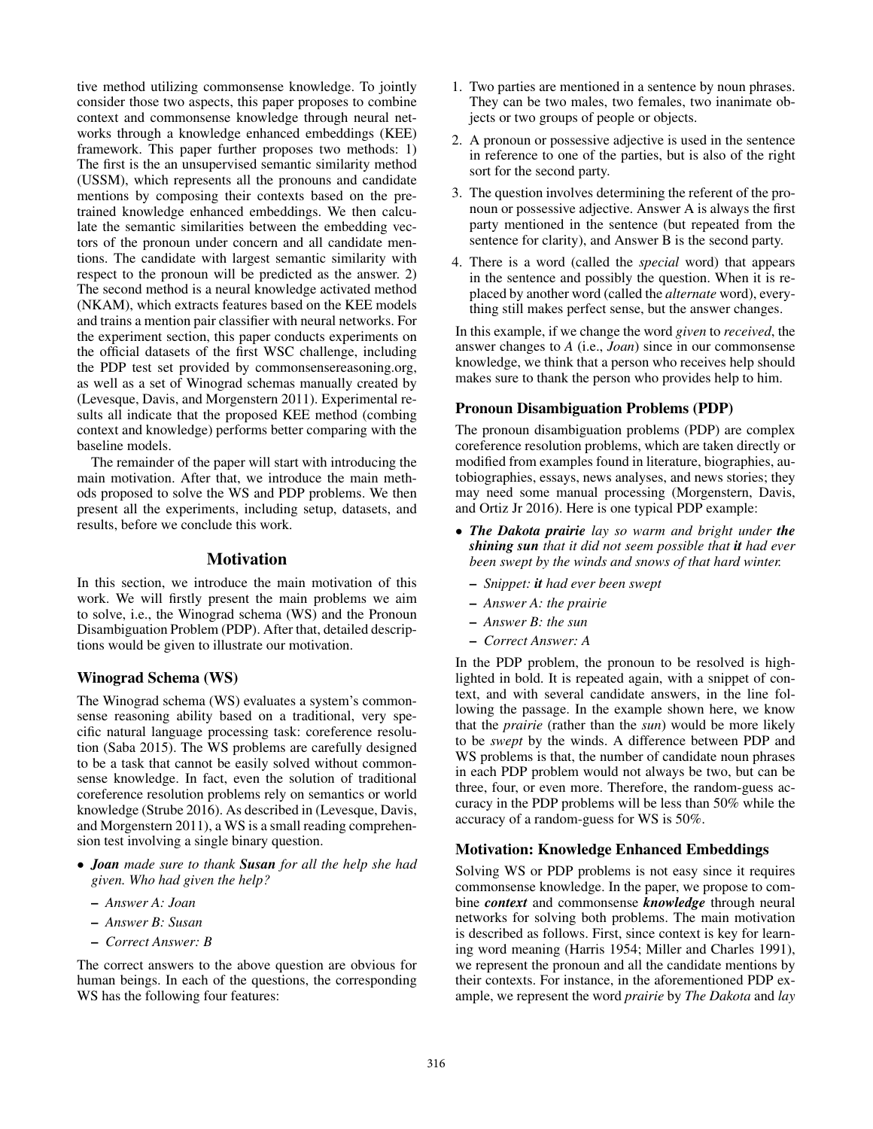tive method utilizing commonsense knowledge. To jointly consider those two aspects, this paper proposes to combine context and commonsense knowledge through neural networks through a knowledge enhanced embeddings (KEE) framework. This paper further proposes two methods: 1) The first is the an unsupervised semantic similarity method (USSM), which represents all the pronouns and candidate mentions by composing their contexts based on the pretrained knowledge enhanced embeddings. We then calculate the semantic similarities between the embedding vectors of the pronoun under concern and all candidate mentions. The candidate with largest semantic similarity with respect to the pronoun will be predicted as the answer. 2) The second method is a neural knowledge activated method (NKAM), which extracts features based on the KEE models and trains a mention pair classifier with neural networks. For the experiment section, this paper conducts experiments on the official datasets of the first WSC challenge, including the PDP test set provided by commonsensereasoning.org, as well as a set of Winograd schemas manually created by (Levesque, Davis, and Morgenstern 2011). Experimental results all indicate that the proposed KEE method (combing context and knowledge) performs better comparing with the baseline models.

The remainder of the paper will start with introducing the main motivation. After that, we introduce the main methods proposed to solve the WS and PDP problems. We then present all the experiments, including setup, datasets, and results, before we conclude this work.

# Motivation

In this section, we introduce the main motivation of this work. We will firstly present the main problems we aim to solve, i.e., the Winograd schema (WS) and the Pronoun Disambiguation Problem (PDP). After that, detailed descriptions would be given to illustrate our motivation.

## Winograd Schema (WS)

The Winograd schema (WS) evaluates a system's commonsense reasoning ability based on a traditional, very specific natural language processing task: coreference resolution (Saba 2015). The WS problems are carefully designed to be a task that cannot be easily solved without commonsense knowledge. In fact, even the solution of traditional coreference resolution problems rely on semantics or world knowledge (Strube 2016). As described in (Levesque, Davis, and Morgenstern 2011), a WS is a small reading comprehension test involving a single binary question.

- *Joan made sure to thank Susan for all the help she had given. Who had given the help?*
	- *Answer A: Joan*
	- *Answer B: Susan*
	- *Correct Answer: B*

The correct answers to the above question are obvious for human beings. In each of the questions, the corresponding WS has the following four features:

- 1. Two parties are mentioned in a sentence by noun phrases. They can be two males, two females, two inanimate objects or two groups of people or objects.
- 2. A pronoun or possessive adjective is used in the sentence in reference to one of the parties, but is also of the right sort for the second party.
- 3. The question involves determining the referent of the pronoun or possessive adjective. Answer A is always the first party mentioned in the sentence (but repeated from the sentence for clarity), and Answer B is the second party.
- 4. There is a word (called the *special* word) that appears in the sentence and possibly the question. When it is replaced by another word (called the *alternate* word), everything still makes perfect sense, but the answer changes.

In this example, if we change the word *given* to *received*, the answer changes to *A* (i.e., *Joan*) since in our commonsense knowledge, we think that a person who receives help should makes sure to thank the person who provides help to him.

## Pronoun Disambiguation Problems (PDP)

The pronoun disambiguation problems (PDP) are complex coreference resolution problems, which are taken directly or modified from examples found in literature, biographies, autobiographies, essays, news analyses, and news stories; they may need some manual processing (Morgenstern, Davis, and Ortiz Jr 2016). Here is one typical PDP example:

- *The Dakota prairie lay so warm and bright under the shining sun that it did not seem possible that it had ever been swept by the winds and snows of that hard winter.*
	- *Snippet: it had ever been swept*
	- *Answer A: the prairie*
	- *Answer B: the sun*
	- *Correct Answer: A*

In the PDP problem, the pronoun to be resolved is highlighted in bold. It is repeated again, with a snippet of context, and with several candidate answers, in the line following the passage. In the example shown here, we know that the *prairie* (rather than the *sun*) would be more likely to be *swept* by the winds. A difference between PDP and WS problems is that, the number of candidate noun phrases in each PDP problem would not always be two, but can be three, four, or even more. Therefore, the random-guess accuracy in the PDP problems will be less than 50% while the accuracy of a random-guess for WS is 50%.

#### Motivation: Knowledge Enhanced Embeddings

Solving WS or PDP problems is not easy since it requires commonsense knowledge. In the paper, we propose to combine *context* and commonsense *knowledge* through neural networks for solving both problems. The main motivation is described as follows. First, since context is key for learning word meaning (Harris 1954; Miller and Charles 1991), we represent the pronoun and all the candidate mentions by their contexts. For instance, in the aforementioned PDP example, we represent the word *prairie* by *The Dakota* and *lay*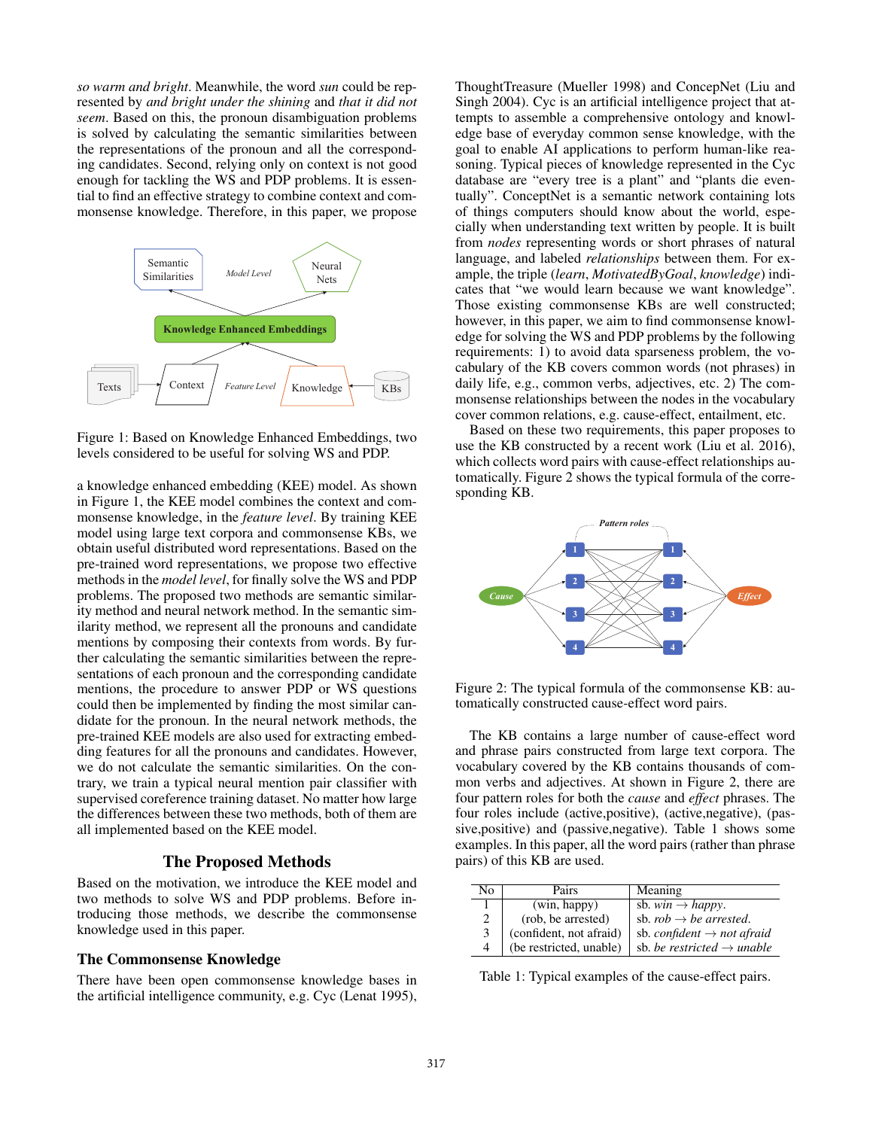*so warm and bright*. Meanwhile, the word *sun* could be represented by *and bright under the shining* and *that it did not seem*. Based on this, the pronoun disambiguation problems is solved by calculating the semantic similarities between the representations of the pronoun and all the corresponding candidates. Second, relying only on context is not good enough for tackling the WS and PDP problems. It is essential to find an effective strategy to combine context and commonsense knowledge. Therefore, in this paper, we propose



Figure 1: Based on Knowledge Enhanced Embeddings, two levels considered to be useful for solving WS and PDP.

a knowledge enhanced embedding (KEE) model. As shown in Figure 1, the KEE model combines the context and commonsense knowledge, in the *feature level*. By training KEE model using large text corpora and commonsense KBs, we obtain useful distributed word representations. Based on the pre-trained word representations, we propose two effective methods in the *model level*, for finally solve the WS and PDP problems. The proposed two methods are semantic similarity method and neural network method. In the semantic similarity method, we represent all the pronouns and candidate mentions by composing their contexts from words. By further calculating the semantic similarities between the representations of each pronoun and the corresponding candidate mentions, the procedure to answer PDP or WS questions could then be implemented by finding the most similar candidate for the pronoun. In the neural network methods, the pre-trained KEE models are also used for extracting embedding features for all the pronouns and candidates. However, we do not calculate the semantic similarities. On the contrary, we train a typical neural mention pair classifier with supervised coreference training dataset. No matter how large the differences between these two methods, both of them are all implemented based on the KEE model.

## The Proposed Methods

Based on the motivation, we introduce the KEE model and two methods to solve WS and PDP problems. Before introducing those methods, we describe the commonsense knowledge used in this paper.

#### The Commonsense Knowledge

There have been open commonsense knowledge bases in the artificial intelligence community, e.g. Cyc (Lenat 1995),

ThoughtTreasure (Mueller 1998) and ConcepNet (Liu and Singh 2004). Cyc is an artificial intelligence project that attempts to assemble a comprehensive ontology and knowledge base of everyday common sense knowledge, with the goal to enable AI applications to perform human-like reasoning. Typical pieces of knowledge represented in the Cyc database are "every tree is a plant" and "plants die eventually". ConceptNet is a semantic network containing lots of things computers should know about the world, especially when understanding text written by people. It is built from *nodes* representing words or short phrases of natural language, and labeled *relationships* between them. For example, the triple (*learn*, *MotivatedByGoal*, *knowledge*) indicates that "we would learn because we want knowledge". Those existing commonsense KBs are well constructed; however, in this paper, we aim to find commonsense knowledge for solving the WS and PDP problems by the following requirements: 1) to avoid data sparseness problem, the vocabulary of the KB covers common words (not phrases) in daily life, e.g., common verbs, adjectives, etc. 2) The commonsense relationships between the nodes in the vocabulary cover common relations, e.g. cause-effect, entailment, etc.

Based on these two requirements, this paper proposes to use the KB constructed by a recent work (Liu et al. 2016), which collects word pairs with cause-effect relationships automatically. Figure 2 shows the typical formula of the corresponding KB.



Figure 2: The typical formula of the commonsense KB: automatically constructed cause-effect word pairs.

The KB contains a large number of cause-effect word and phrase pairs constructed from large text corpora. The vocabulary covered by the KB contains thousands of common verbs and adjectives. At shown in Figure 2, there are four pattern roles for both the *cause* and *effect* phrases. The four roles include (active,positive), (active,negative), (passive,positive) and (passive,negative). Table 1 shows some examples. In this paper, all the word pairs (rather than phrase pairs) of this KB are used.

| No | Pairs                   | Meaning                                |
|----|-------------------------|----------------------------------------|
|    | (win, happy)            | sb. $win \rightarrow happy$ .          |
| 2  | (rob, be arrested)      | sb. $rob \rightarrow be$ arrested.     |
| 3  | (confident, not afraid) | sb. confident $\rightarrow$ not afraid |
|    | (be restricted, unable) | sb. be restricted $\rightarrow$ unable |

Table 1: Typical examples of the cause-effect pairs.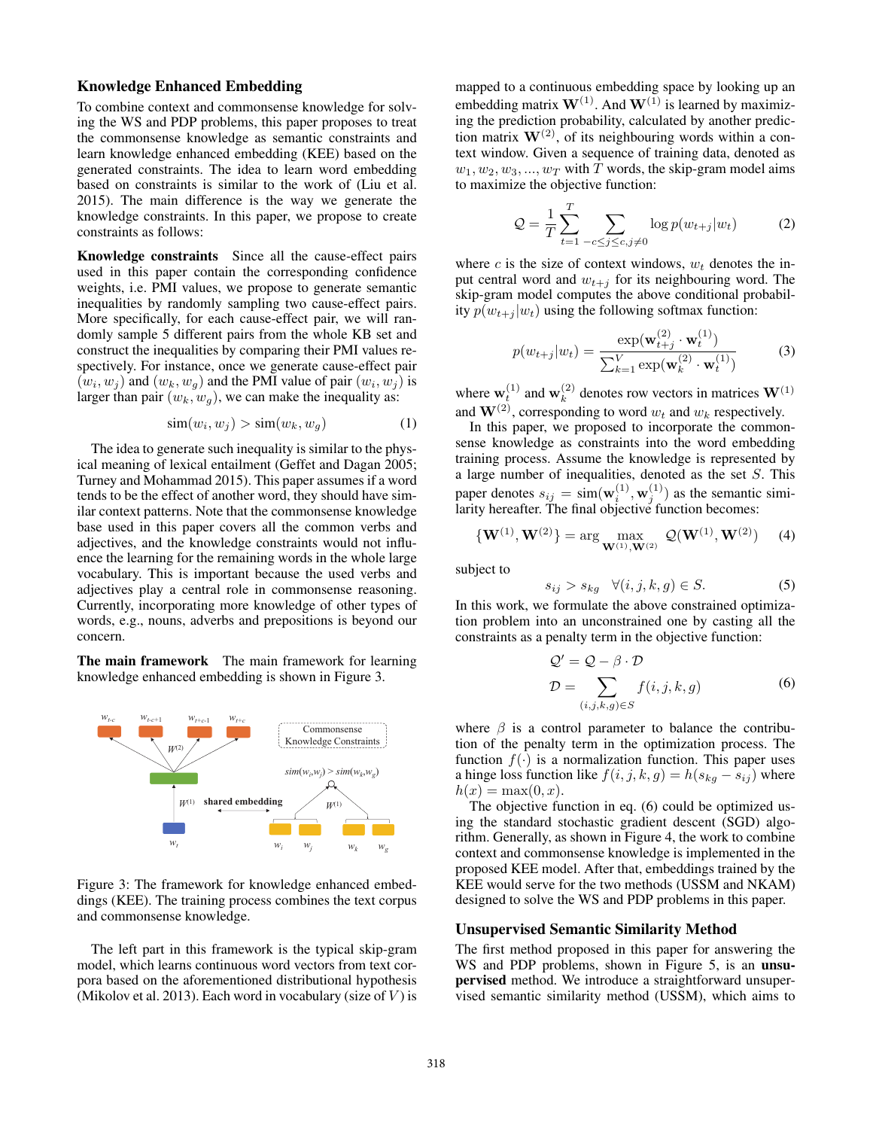## Knowledge Enhanced Embedding

To combine context and commonsense knowledge for solving the WS and PDP problems, this paper proposes to treat the commonsense knowledge as semantic constraints and learn knowledge enhanced embedding (KEE) based on the generated constraints. The idea to learn word embedding based on constraints is similar to the work of (Liu et al. 2015). The main difference is the way we generate the knowledge constraints. In this paper, we propose to create constraints as follows:

Knowledge constraints Since all the cause-effect pairs used in this paper contain the corresponding confidence weights, i.e. PMI values, we propose to generate semantic inequalities by randomly sampling two cause-effect pairs. More specifically, for each cause-effect pair, we will randomly sample 5 different pairs from the whole KB set and construct the inequalities by comparing their PMI values respectively. For instance, once we generate cause-effect pair  $(w_i, w_j)$  and  $(w_k, w_q)$  and the PMI value of pair  $(w_i, w_j)$  is larger than pair  $(w_k, w_g)$ , we can make the inequality as:

$$
\text{sim}(w_i, w_j) > \text{sim}(w_k, w_g) \tag{1}
$$

The idea to generate such inequality is similar to the physical meaning of lexical entailment (Geffet and Dagan 2005; Turney and Mohammad 2015). This paper assumes if a word tends to be the effect of another word, they should have similar context patterns. Note that the commonsense knowledge base used in this paper covers all the common verbs and adjectives, and the knowledge constraints would not influence the learning for the remaining words in the whole large vocabulary. This is important because the used verbs and adjectives play a central role in commonsense reasoning. Currently, incorporating more knowledge of other types of words, e.g., nouns, adverbs and prepositions is beyond our concern.

The main framework The main framework for learning knowledge enhanced embedding is shown in Figure 3.



Figure 3: The framework for knowledge enhanced embeddings (KEE). The training process combines the text corpus and commonsense knowledge.

The left part in this framework is the typical skip-gram model, which learns continuous word vectors from text corpora based on the aforementioned distributional hypothesis (Mikolov et al. 2013). Each word in vocabulary (size of  $V$ ) is

mapped to a continuous embedding space by looking up an embedding matrix  $\mathbf{W}^{(1)}$ . And  $\mathbf{W}^{(1)}$  is learned by maximizing the prediction probability, calculated by another prediction matrix  $W^{(2)}$ , of its neighbouring words within a context window. Given a sequence of training data, denoted as  $w_1, w_2, w_3, ..., w_T$  with T words, the skip-gram model aims to maximize the objective function:

$$
\mathcal{Q} = \frac{1}{T} \sum_{t=1}^{T} \sum_{-c \le j \le c, j \neq 0} \log p(w_{t+j}|w_t)
$$
 (2)

where c is the size of context windows,  $w_t$  denotes the input central word and  $w_{t+j}$  for its neighbouring word. The skip-gram model computes the above conditional probability  $p(w_{t+j} | w_t)$  using the following softmax function:

$$
p(w_{t+j}|w_t) = \frac{\exp(\mathbf{w}_{t+j}^{(2)} \cdot \mathbf{w}_t^{(1)})}{\sum_{k=1}^{V} \exp(\mathbf{w}_k^{(2)} \cdot \mathbf{w}_t^{(1)})}
$$
(3)

where  $\mathbf{w}_t^{(1)}$  and  $\mathbf{w}_k^{(2)}$  denotes row vectors in matrices  $\mathbf{W}^{(1)}$ 

and  $\mathbf{W}^{(2)}$ , corresponding to word  $w_t$  and  $w_k$  respectively.<br>In this paper, we proposed to incorporate the common In this paper, we proposed to incorporate the commonsense knowledge as constraints into the word embedding training process. Assume the knowledge is represented by a large number of inequalities, denoted as the set S. This paper denotes  $s_{ij} = \text{sim}(\mathbf{w}_i^{(1)}, \mathbf{w}_j^{(1)})$  as the semantic simi-<br>larity hereafter. The final objective function becomes:

$$
\{W^{(1)}, W^{(2)}\} = \arg\max_{W^{(1)}, W^{(2)}} Q(W^{(1)}, W^{(2)}) \quad (4)
$$

subject to

$$
s_{ij} > s_{kg} \quad \forall (i, j, k, g) \in S. \tag{5}
$$

 $s_{ij} > s_{kg} \quad \forall (i, j, k, g) \in S.$  (5)<br>In this work, we formulate the above constrained optimization problem into an unconstrained one by casting all the constraints as a penalty term in the objective function:

$$
Q' = Q - \beta \cdot D
$$
  

$$
D = \sum_{(i,j,k,g) \in S} f(i,j,k,g)
$$
 (6)

where  $\beta$  is a control parameter to balance the contribution of the penalty term in the optimization process. The function  $f(\cdot)$  is a normalization function. This paper uses a hinge loss function like  $f(i, j, k, g) = h(s_{kg} - s_{ij})$  where  $h(x) = \max(0, x).$ 

The objective function in eq. (6) could be optimized using the standard stochastic gradient descent (SGD) algorithm. Generally, as shown in Figure 4, the work to combine context and commonsense knowledge is implemented in the proposed KEE model. After that, embeddings trained by the KEE would serve for the two methods (USSM and NKAM) designed to solve the WS and PDP problems in this paper.

#### Unsupervised Semantic Similarity Method

The first method proposed in this paper for answering the WS and PDP problems, shown in Figure 5, is an **unsu**pervised method. We introduce a straightforward unsupervised semantic similarity method (USSM), which aims to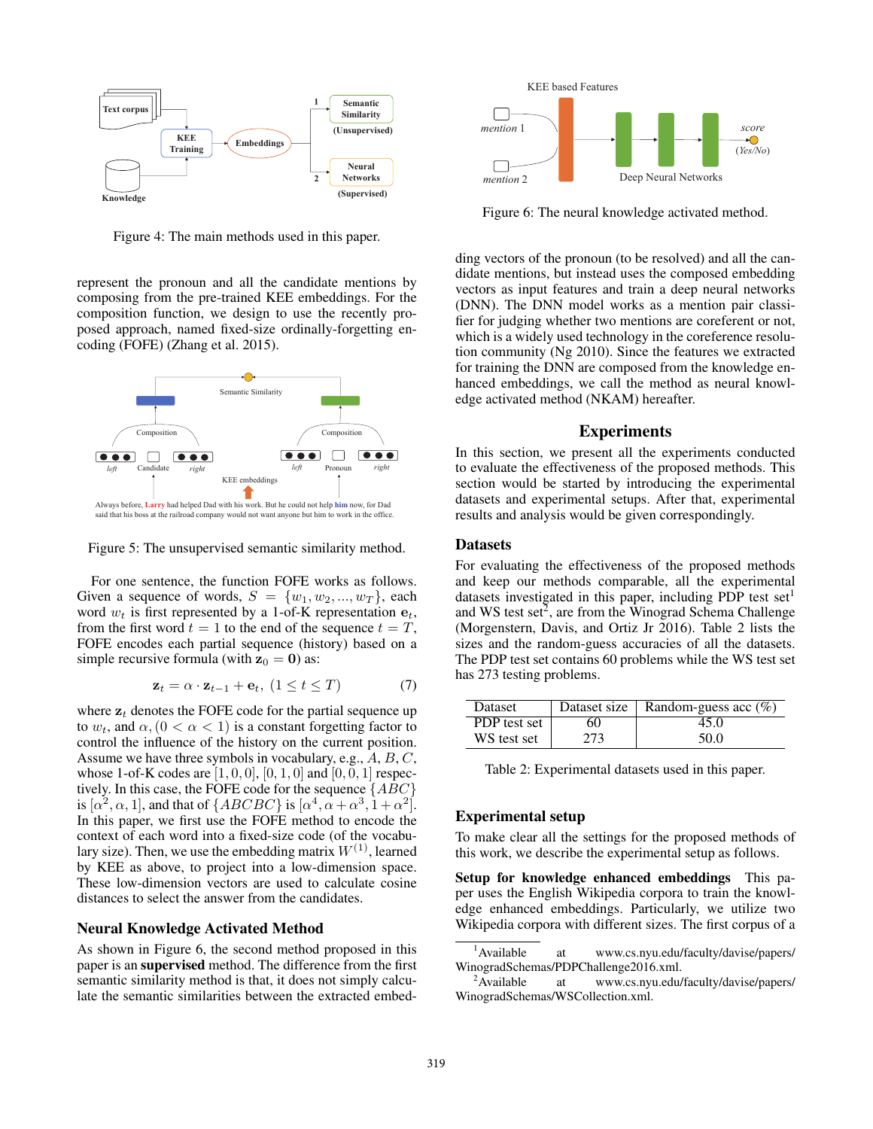

Figure 4: The main methods used in this paper.

represent the pronoun and all the candidate mentions by composing from the pre-trained KEE embeddings. For the composition function, we design to use the recently proposed approach, named fixed-size ordinally-forgetting encoding (FOFE) (Zhang et al. 2015).



Figure 5: The unsupervised semantic similarity method.

For one sentence, the function FOFE works as follows. Given a sequence of words,  $S = \{w_1, w_2, ..., w_T\}$ , each word  $w_t$  is first represented by a 1-of-K representation  $e_t$ , from the first word  $t = 1$  to the end of the sequence  $t = T$ , FOFE encodes each partial sequence (history) based on a simple recursive formula (with  $z_0 = 0$ ) as:

$$
\mathbf{z}_t = \alpha \cdot \mathbf{z}_{t-1} + \mathbf{e}_t, \ (1 \le t \le T) \tag{7}
$$

where  $z_t$  denotes the FOFE code for the partial sequence up to  $w_t$ , and  $\alpha$ ,  $(0 < \alpha < 1)$  is a constant forgetting factor to control the influence of the history on the current position. Assume we have three symbols in vocabulary, e.g., A, B, C, whose 1-of-K codes are  $[1, 0, 0]$ ,  $[0, 1, 0]$  and  $[0, 0, 1]$  respectively. In this case, the FOFE code for the sequence  $\{ABC\}$ is  $[\alpha^2, \alpha, 1]$ , and that of  $\{ABCBC\}$  is  $[\alpha^4, \alpha + \alpha^3, 1 + \alpha^2]$ . In this paper, we first use the FOFE method to encode the context of each word into a fixed-size code (of the vocabulary size). Then, we use the embedding matrix  $W^{(1)}$ , learned by KEE as above, to project into a low-dimension space. These low-dimension vectors are used to calculate cosine distances to select the answer from the candidates.

### Neural Knowledge Activated Method

As shown in Figure 6, the second method proposed in this paper is an supervised method. The difference from the first semantic similarity method is that, it does not simply calculate the semantic similarities between the extracted embed-



Figure 6: The neural knowledge activated method.

ding vectors of the pronoun (to be resolved) and all the candidate mentions, but instead uses the composed embedding vectors as input features and train a deep neural networks (DNN). The DNN model works as a mention pair classifier for judging whether two mentions are coreferent or not, which is a widely used technology in the coreference resolution community (Ng 2010). Since the features we extracted for training the DNN are composed from the knowledge enhanced embeddings, we call the method as neural knowledge activated method (NKAM) hereafter.

## Experiments

In this section, we present all the experiments conducted to evaluate the effectiveness of the proposed methods. This section would be started by introducing the experimental datasets and experimental setups. After that, experimental results and analysis would be given correspondingly.

#### **Datasets**

For evaluating the effectiveness of the proposed methods and keep our methods comparable, all the experimental datasets investigated in this paper, including PDP test set<sup>1</sup> and WS test set $2$ , are from the Winograd Schema Challenge (Morgenstern, Davis, and Ortiz Jr 2016). Table 2 lists the sizes and the random-guess accuracies of all the datasets. The PDP test set contains 60 problems while the WS test set has 273 testing problems.

| <b>Dataset</b> | Dataset size | Random-guess acc $(\%)$ |
|----------------|--------------|-------------------------|
| PDP test set   | 60           | 45.0                    |
| WS test set    | 273.         | 50.0                    |

Table 2: Experimental datasets used in this paper.

#### Experimental setup

To make clear all the settings for the proposed methods of this work, we describe the experimental setup as follows.

Setup for knowledge enhanced embeddings This paper uses the English Wikipedia corpora to train the knowledge enhanced embeddings. Particularly, we utilize two Wikipedia corpora with different sizes. The first corpus of a

 $<sup>1</sup>$ Available</sup> at www.cs.nyu.edu/faculty/davise/papers/ WinogradSchemas/PDPChallenge2016.xml.

<sup>&</sup>lt;sup>2</sup>Available at www.cs.nyu.edu/faculty/davise/papers/ WinogradSchemas/WSCollection.xml.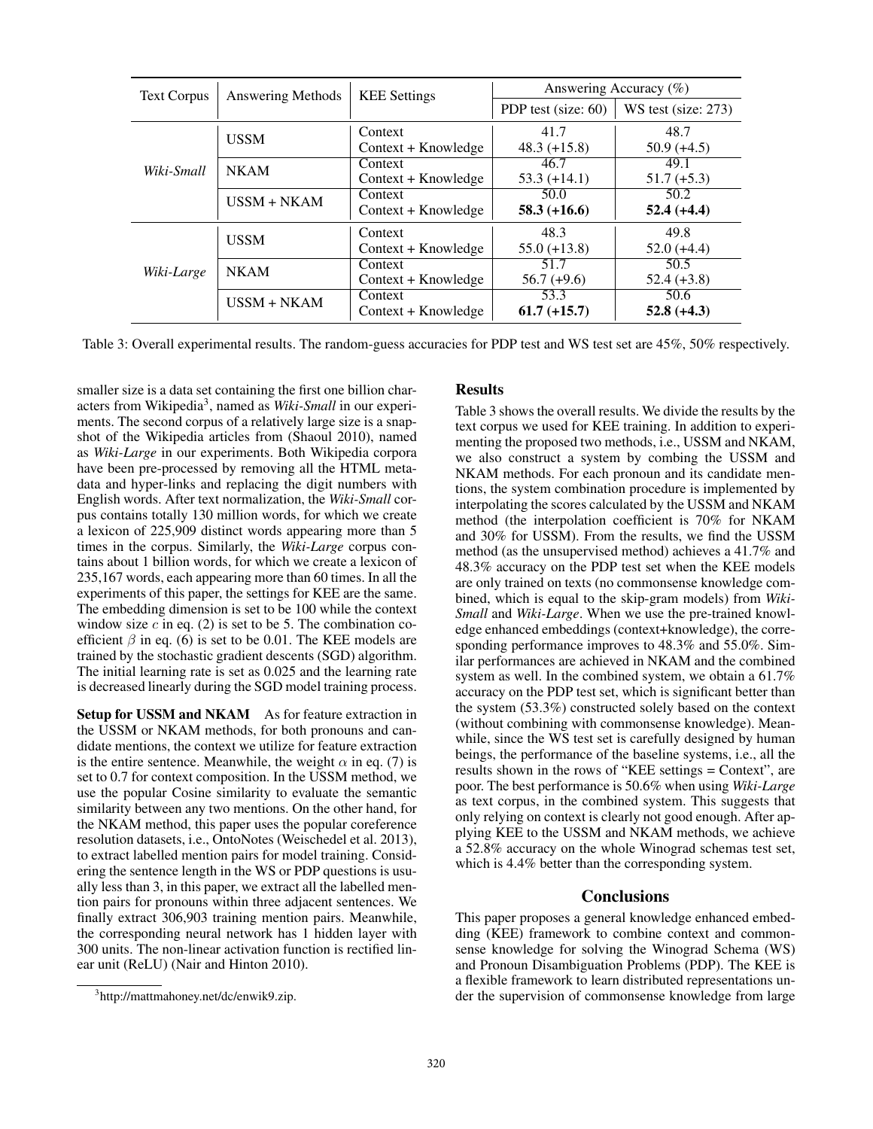| <b>Text Corpus</b> | <b>Answering Methods</b> | <b>KEE</b> Settings            | Answering Accuracy $(\%)$ |                       |
|--------------------|--------------------------|--------------------------------|---------------------------|-----------------------|
|                    |                          |                                | PDP test (size: 60)       | $WS$ test (size: 273) |
|                    | <b>USSM</b>              | Context<br>Context + Knowledge | 41.7<br>$48.3 (+15.8)$    | 48.7<br>$50.9 (+4.5)$ |
| Wiki-Small         | <b>NKAM</b>              | Context<br>Context + Knowledge | 46.7<br>$53.3 (+14.1)$    | 49.1<br>$51.7 (+5.3)$ |
|                    | $USSM + NKAM$            | Context<br>Context + Knowledge | 50.0<br>$58.3 (+16.6)$    | 50.2<br>$52.4 (+4.4)$ |
|                    | <b>USSM</b>              | Context<br>Context + Knowledge | 48.3<br>$55.0 (+13.8)$    | 49.8<br>$52.0 (+4.4)$ |
| Wiki-Large         | <b>NKAM</b>              | Context<br>Context + Knowledge | 51.7<br>$56.7 (+9.6)$     | 50.5<br>$52.4 (+3.8)$ |
|                    | $USSM + NKAM$            | Context<br>Context + Knowledge | 53.3<br>$61.7 (+15.7)$    | 50.6<br>$52.8 (+4.3)$ |

Table 3: Overall experimental results. The random-guess accuracies for PDP test and WS test set are 45%, 50% respectively.

smaller size is a data set containing the first one billion characters from Wikipedia3, named as *Wiki-Small* in our experiments. The second corpus of a relatively large size is a snapshot of the Wikipedia articles from (Shaoul 2010), named as *Wiki-Large* in our experiments. Both Wikipedia corpora have been pre-processed by removing all the HTML metadata and hyper-links and replacing the digit numbers with English words. After text normalization, the *Wiki-Small* corpus contains totally 130 million words, for which we create a lexicon of 225,909 distinct words appearing more than 5 times in the corpus. Similarly, the *Wiki-Large* corpus contains about 1 billion words, for which we create a lexicon of 235,167 words, each appearing more than 60 times. In all the experiments of this paper, the settings for KEE are the same. The embedding dimension is set to be 100 while the context window size  $c$  in eq. (2) is set to be 5. The combination coefficient  $\beta$  in eq. (6) is set to be 0.01. The KEE models are trained by the stochastic gradient descents (SGD) algorithm. The initial learning rate is set as 0.025 and the learning rate is decreased linearly during the SGD model training process.

Setup for USSM and NKAM As for feature extraction in the USSM or NKAM methods, for both pronouns and candidate mentions, the context we utilize for feature extraction is the entire sentence. Meanwhile, the weight  $\alpha$  in eq. (7) is set to 0.7 for context composition. In the USSM method, we use the popular Cosine similarity to evaluate the semantic similarity between any two mentions. On the other hand, for the NKAM method, this paper uses the popular coreference resolution datasets, i.e., OntoNotes (Weischedel et al. 2013), to extract labelled mention pairs for model training. Considering the sentence length in the WS or PDP questions is usually less than 3, in this paper, we extract all the labelled mention pairs for pronouns within three adjacent sentences. We finally extract 306,903 training mention pairs. Meanwhile, the corresponding neural network has 1 hidden layer with 300 units. The non-linear activation function is rectified linear unit (ReLU) (Nair and Hinton 2010).

### 3 http://mattmahoney.net/dc/enwik9.zip.

#### Results

Table 3 shows the overall results. We divide the results by the text corpus we used for KEE training. In addition to experimenting the proposed two methods, i.e., USSM and NKAM, we also construct a system by combing the USSM and NKAM methods. For each pronoun and its candidate mentions, the system combination procedure is implemented by interpolating the scores calculated by the USSM and NKAM method (the interpolation coefficient is 70% for NKAM and 30% for USSM). From the results, we find the USSM method (as the unsupervised method) achieves a 41.7% and 48.3% accuracy on the PDP test set when the KEE models are only trained on texts (no commonsense knowledge combined, which is equal to the skip-gram models) from *Wiki-Small* and *Wiki-Large*. When we use the pre-trained knowledge enhanced embeddings (context+knowledge), the corresponding performance improves to 48.3% and 55.0%. Similar performances are achieved in NKAM and the combined system as well. In the combined system, we obtain a 61.7% accuracy on the PDP test set, which is significant better than the system (53.3%) constructed solely based on the context (without combining with commonsense knowledge). Meanwhile, since the WS test set is carefully designed by human beings, the performance of the baseline systems, i.e., all the results shown in the rows of "KEE settings = Context", are poor. The best performance is 50.6% when using *Wiki-Large* as text corpus, in the combined system. This suggests that only relying on context is clearly not good enough. After applying KEE to the USSM and NKAM methods, we achieve a 52.8% accuracy on the whole Winograd schemas test set, which is 4.4% better than the corresponding system.

#### **Conclusions**

This paper proposes a general knowledge enhanced embedding (KEE) framework to combine context and commonsense knowledge for solving the Winograd Schema (WS) and Pronoun Disambiguation Problems (PDP). The KEE is a flexible framework to learn distributed representations under the supervision of commonsense knowledge from large